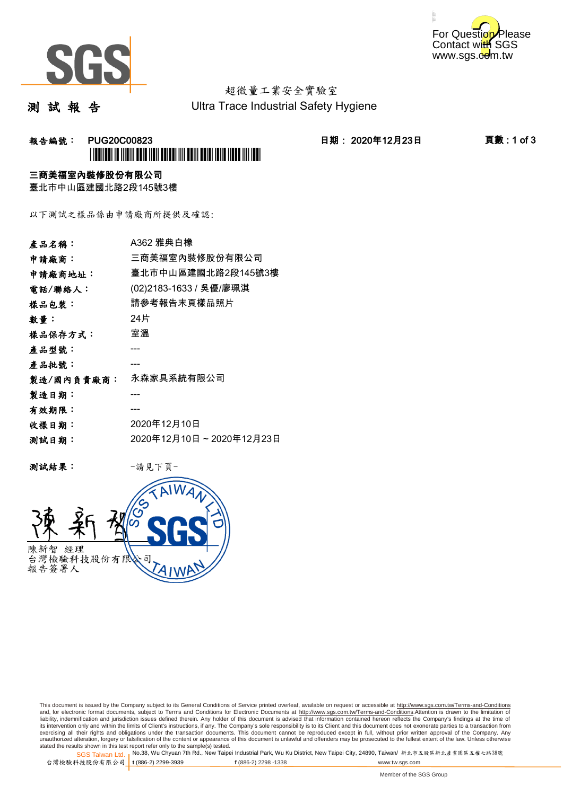



# 超微量工業安全實驗室

測 試 報 告

Ultra Trace Industrial Safety Hygiene

# 報告編號: PUG20C00823 日期: 2020年12月23日 頁數 : 1 of 3 \*PUG20C00823\*

### 三商美福室內裝修股份有限公司

臺北市中山區建國北路2段145號3樓

以下測試之樣品係由申請廠商所提供及確認:

| 產品名稱:      | A362 雅典白橡               |
|------------|-------------------------|
| 申請廠商:      | 三商美福室內裝修股份有限公司          |
| 申請廠商地址:    | 臺北市中山區建國北路2段145號3樓      |
| 電話/聯絡人:    | (02)2183-1633 / 吳優/廖珮淇  |
| 樣品包裝:      | 請參考報告末頁樣品照片             |
| 數量:        | 24片                     |
| 樣品保存方式:    | 室溫                      |
| 產品型號:      |                         |
| 產品批號:      |                         |
| 製造/國內負責廠商: | 永森家具系統有限公司              |
| 製造日期:      |                         |
| 有效期限:      |                         |
| 收樣日期:      | 2020年12月10日             |
| 测試日期:      | 2020年12月10日~2020年12月23日 |
|            |                         |

测試結果: 一請見下頁



This document is issued by the Company subject to its General Conditions of Service printed overleaf, available on request or accessible at http://www.sgs.com.tw/Terms-and-Conditions and, for electronic format documents, subject to Terms and Conditions for Electronic Documents at <u>http://www.sgs.com.tw/Terms-and-Conditions</u>.Attention is drawn to the limitation of<br>liability, indemnification and jurisdic exercising all their rights and obligations under the transaction documents. This document cannot be reproduced except in full, without prior written approval of the Company. Any<br>unauthorized alteration, forgery or falsifi

SGS Taiwan Ltd. 1 stated the results shown in this test report refer only to the sample(s) tested.<br>Stated the results shown in this test report refer only to the sample(s) tested.

台灣檢驗科技股份有限公司

**t** (886-2) 2299-3939 **f** (886-2) 2298 -1338 www.tw.sgs.com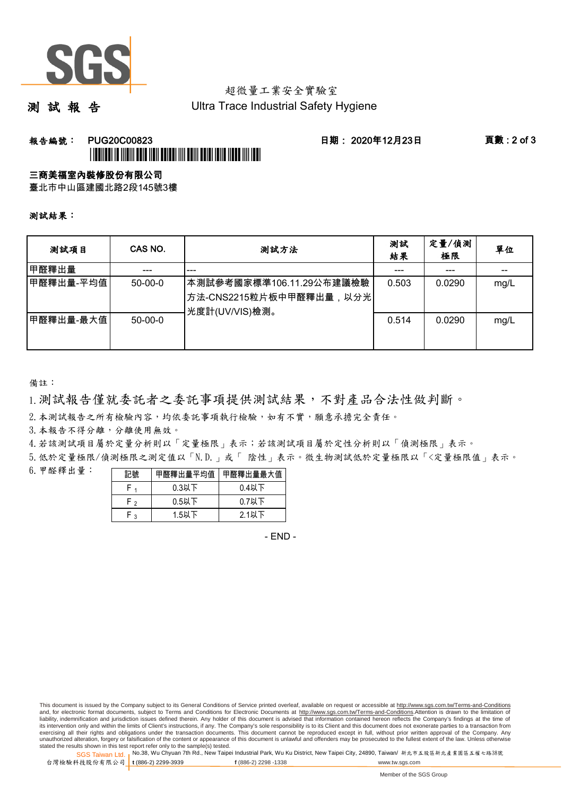

# 超微量工業安全實驗室

測 試 報 告

Ultra Trace Industrial Safety Hygiene

## **報告編號: PUG20C00823 日期: 2020年12月23日 頁數:2 of 3** \*PUG20C00823\*

### 三商美福室內裝修股份有限公司

臺北市中山區建國北路2段145號3樓

測試結果:

| 测試項目      | CAS NO.       | 測試方法                                                                  | 測試<br>結果 | 定量/偵測<br>極限 | 單位   |
|-----------|---------------|-----------------------------------------------------------------------|----------|-------------|------|
| 甲醛釋出量     |               | ---                                                                   |          | ---         |      |
| 甲醛釋出量-平均值 | $50-00-0$     | 本測試參考國家標準106.11.29公布建議檢驗<br>方法-CNS2215粒片板中甲醛釋出量,以分光<br>光度計(UV/VIS)檢測。 | 0.503    | 0.0290      | mg/L |
| 甲醛釋出量-最大值 | $50 - 00 - 0$ |                                                                       | 0.514    | 0.0290      | mg/L |

備註:

1.測試報告僅就委託者之委託事項提供測試結果,不對產品合法性做判斷。

2.本測試報告之所有檢驗內容,均依委託事項執行檢驗,如有不實,願意承擔完全責任。

3. 本報告不得分離,分離使用無效。

4.若該測試項目屬於定量分析則以「定量極限」表示;若該測試項目屬於定性分析則以「偵測極限」表示。

5.低於定量極限/偵測極限之測定值以「N.D.」或「 陰性」表示。微生物測試低於定量極限以「<定量極限值」表示。

6.甲醛釋出量:

| 記號  | 甲醛釋出量平均值丨 | 甲醛釋出量最大值 |  |  |
|-----|-----------|----------|--|--|
|     | $0.3$ 以下  | $0.4$ 以下 |  |  |
| ه ۲ | $0.5$ 以下  | $0.7$ 以下 |  |  |
| م.  | 1.5以下     | 2.1以下    |  |  |

- END -

This document is issued by the Company subject to its General Conditions of Service printed overleaf, available on request or accessible at http://www.sgs.com.tw/Terms-and-Conditions and, for electronic format documents, subject to Terms and Conditions for Electronic Documents at http://www.sgs.com.tw/Terms-and-Conditions.Attention is drawn to the limitation of liability, indemnification and jurisdiction issues defined therein. Any holder of this document is advised that information contained hereon reflects the Company's findings at the time of<br>its intervention only and within t exercising all their rights and obligations under the transaction documents. This document cannot be reproduced except in full, without prior written approval of the Company. Any<br>unauthorized alteration, forgery or falsifi

SGS Taiwan Ltd. 1 stated the results shown in this test report refer only to the sample(s) tested.<br>Stated the results shown in this test report refer only to the sample(s) tested.

台灣檢驗科技股份有限公司

**t** (886-2) 2299-3939 **f** (886-2) 2298 -1338 www.tw.sgs.com